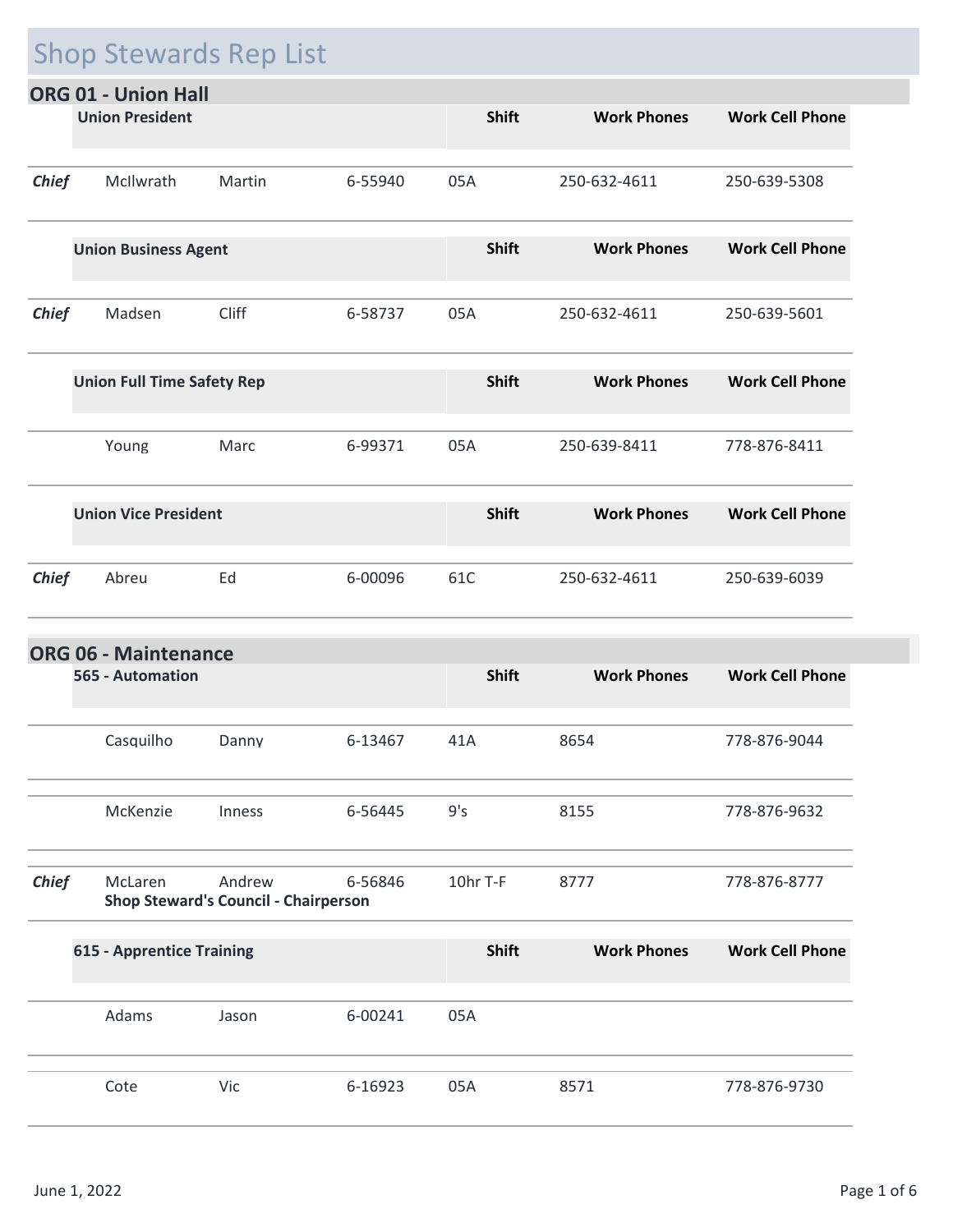## Shop Stewards Rep List

|              | ORG 01 - Union Hall               |        |         |              |                    |                        |
|--------------|-----------------------------------|--------|---------|--------------|--------------------|------------------------|
|              | <b>Union President</b>            |        |         | <b>Shift</b> | <b>Work Phones</b> | <b>Work Cell Phone</b> |
| <b>Chief</b> | McIlwrath                         | Martin | 6-55940 | 05A          | 250-632-4611       | 250-639-5308           |
|              | <b>Union Business Agent</b>       |        |         | <b>Shift</b> | <b>Work Phones</b> | <b>Work Cell Phone</b> |
| <b>Chief</b> | Madsen                            | Cliff  | 6-58737 | 05A          | 250-632-4611       | 250-639-5601           |
|              | <b>Union Full Time Safety Rep</b> |        |         | <b>Shift</b> | <b>Work Phones</b> | <b>Work Cell Phone</b> |
|              | Young                             | Marc   | 6-99371 | 05A          | 250-639-8411       | 778-876-8411           |
|              | <b>Union Vice President</b>       |        |         | <b>Shift</b> | <b>Work Phones</b> | <b>Work Cell Phone</b> |
| <b>Chief</b> | Abreu                             | Ed     | 6-00096 | 61C          | 250-632-4611       | 250-639-6039           |
|              |                                   |        |         |              |                    |                        |

| <b>ORG 06 - Maintenance</b> |                                  |                                                       |         |              |                    |                        |  |  |  |
|-----------------------------|----------------------------------|-------------------------------------------------------|---------|--------------|--------------------|------------------------|--|--|--|
|                             | 565 - Automation                 |                                                       |         | <b>Shift</b> | <b>Work Phones</b> | <b>Work Cell Phone</b> |  |  |  |
|                             | Casquilho                        | Danny                                                 | 6-13467 | 41A          | 8654               | 778-876-9044           |  |  |  |
|                             | McKenzie                         | Inness                                                | 6-56445 | 9's          | 8155               | 778-876-9632           |  |  |  |
| <b>Chief</b>                | McLaren                          | Andrew<br><b>Shop Steward's Council - Chairperson</b> | 6-56846 | 10hr T-F     | 8777               | 778-876-8777           |  |  |  |
|                             | <b>615 - Apprentice Training</b> |                                                       |         | <b>Shift</b> | <b>Work Phones</b> | <b>Work Cell Phone</b> |  |  |  |
|                             | Adams                            | Jason                                                 | 6-00241 | 05A          |                    |                        |  |  |  |
|                             | Cote                             | Vic                                                   | 6-16923 | 05A          | 8571               | 778-876-9730           |  |  |  |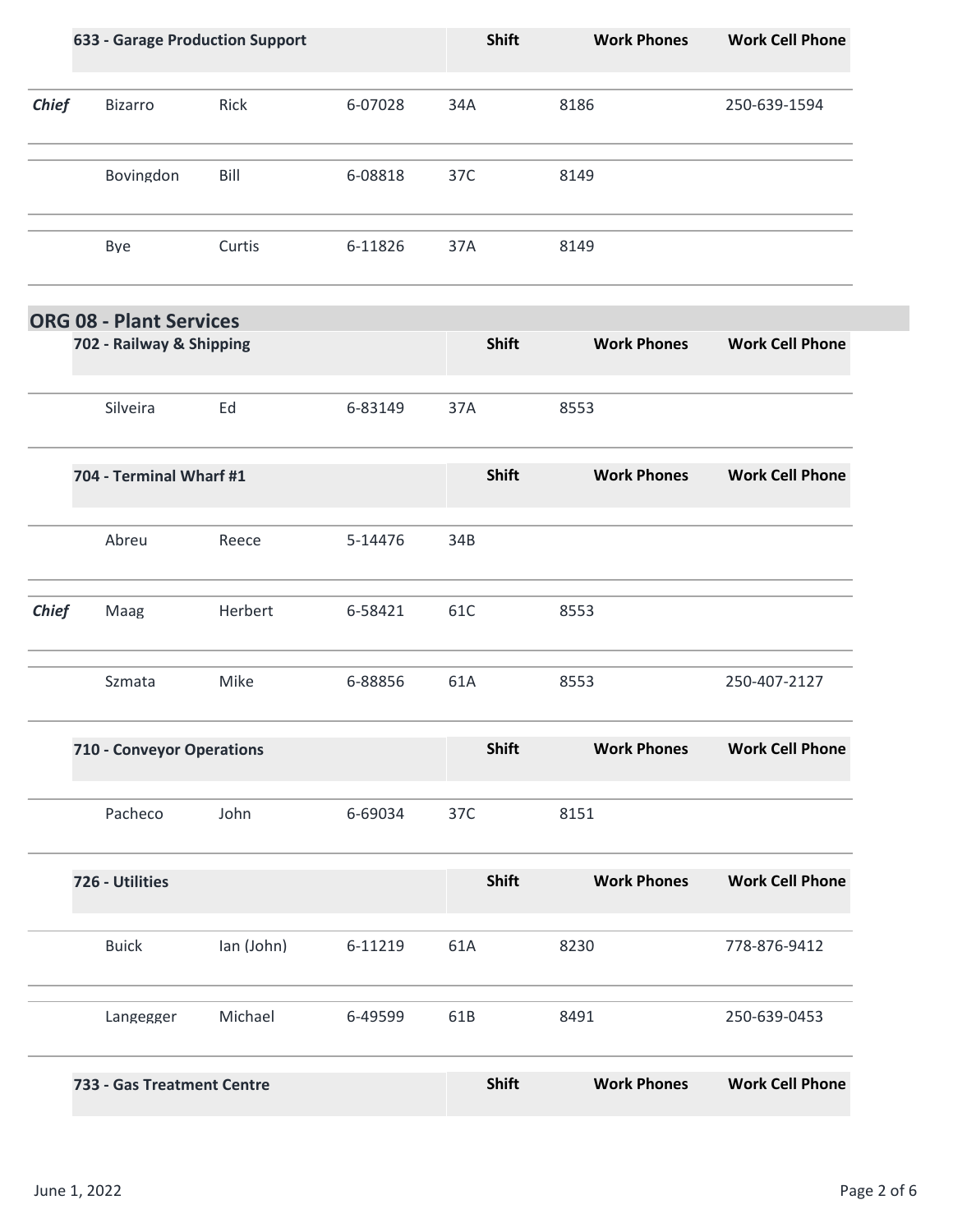|              | <b>633 - Garage Production Support</b> |            |         | <b>Shift</b> | <b>Work Phones</b> | <b>Work Cell Phone</b> |
|--------------|----------------------------------------|------------|---------|--------------|--------------------|------------------------|
| <b>Chief</b> | <b>Bizarro</b>                         | Rick       | 6-07028 | 34A          | 8186               | 250-639-1594           |
|              | Bovingdon                              | Bill       | 6-08818 | 37C          | 8149               |                        |
|              | Bye                                    | Curtis     | 6-11826 | 37A          | 8149               |                        |
|              | <b>ORG 08 - Plant Services</b>         |            |         |              |                    | <b>Work Cell Phone</b> |
|              | 702 - Railway & Shipping               |            |         | <b>Shift</b> | <b>Work Phones</b> |                        |
|              | Silveira                               | Ed         | 6-83149 | 37A          | 8553               |                        |
|              | 704 - Terminal Wharf #1                |            |         | Shift        | <b>Work Phones</b> | <b>Work Cell Phone</b> |
|              | Abreu                                  | Reece      | 5-14476 | 34B          |                    |                        |
| <b>Chief</b> | Maag                                   | Herbert    | 6-58421 | 61C          | 8553               |                        |
|              | Szmata                                 | Mike       | 6-88856 | 61A          | 8553               | 250-407-2127           |
|              | 710 - Conveyor Operations              |            |         | <b>Shift</b> | <b>Work Phones</b> | <b>Work Cell Phone</b> |
|              | Pacheco                                | John       | 6-69034 | 37C          | 8151               |                        |
|              | 726 - Utilities                        |            |         | Shift        | <b>Work Phones</b> | <b>Work Cell Phone</b> |
|              | <b>Buick</b>                           | Ian (John) | 6-11219 | 61A          | 8230               | 778-876-9412           |
|              | Langegger                              | Michael    | 6-49599 | 61B          | 8491               | 250-639-0453           |
|              | 733 - Gas Treatment Centre             |            |         | Shift        | <b>Work Phones</b> | <b>Work Cell Phone</b> |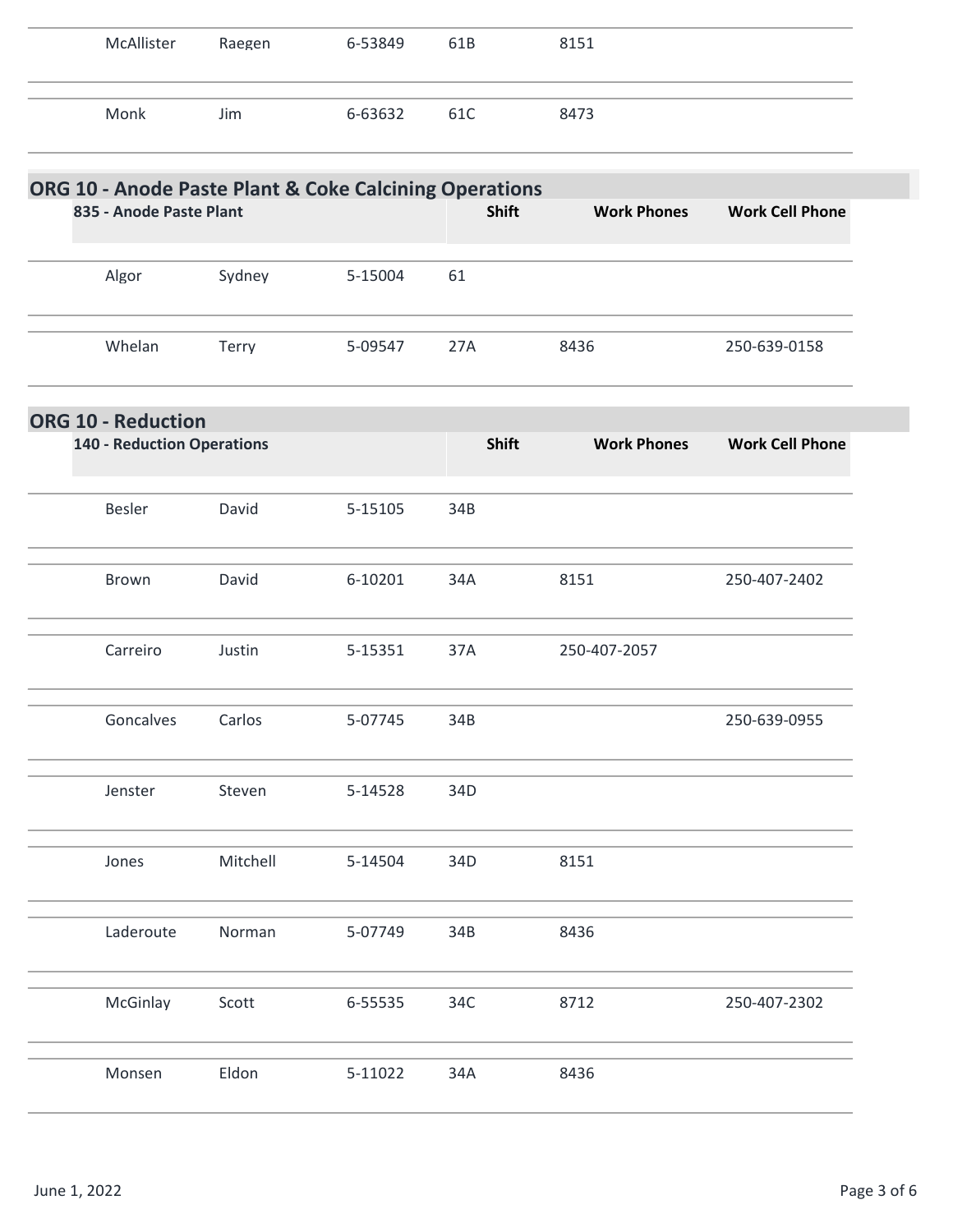| McAllister                        | Raegen   | 6-53849                                                | 61B          | 8151               |                        |
|-----------------------------------|----------|--------------------------------------------------------|--------------|--------------------|------------------------|
| Monk                              | Jim      | 6-63632                                                | 61C          | 8473               |                        |
|                                   |          | ORG 10 - Anode Paste Plant & Coke Calcining Operations |              |                    |                        |
| 835 - Anode Paste Plant           |          |                                                        | <b>Shift</b> | <b>Work Phones</b> | <b>Work Cell Phone</b> |
| Algor                             | Sydney   | 5-15004                                                | 61           |                    |                        |
| Whelan                            | Terry    | 5-09547                                                | 27A          | 8436               | 250-639-0158           |
| <b>ORG 10 - Reduction</b>         |          |                                                        |              |                    |                        |
| <b>140 - Reduction Operations</b> |          |                                                        | Shift        | <b>Work Phones</b> | <b>Work Cell Phone</b> |
| Besler                            | David    | 5-15105                                                | 34B          |                    |                        |
| Brown                             | David    | 6-10201                                                | 34A          | 8151               | 250-407-2402           |
| Carreiro                          | Justin   | 5-15351                                                | 37A          | 250-407-2057       |                        |
| Goncalves                         | Carlos   | 5-07745                                                | 34B          |                    | 250-639-0955           |
| Jenster                           | Steven   | 5-14528                                                | 34D          |                    |                        |
| Jones                             | Mitchell | 5-14504                                                | 34D          | 8151               |                        |
| Laderoute                         | Norman   | 5-07749                                                | 34B          | 8436               |                        |
| McGinlay                          | Scott    | 6-55535                                                | 34C          | 8712               | 250-407-2302           |
| Monsen                            | Eldon    | 5-11022                                                | 34A          | 8436               |                        |
|                                   |          |                                                        |              |                    |                        |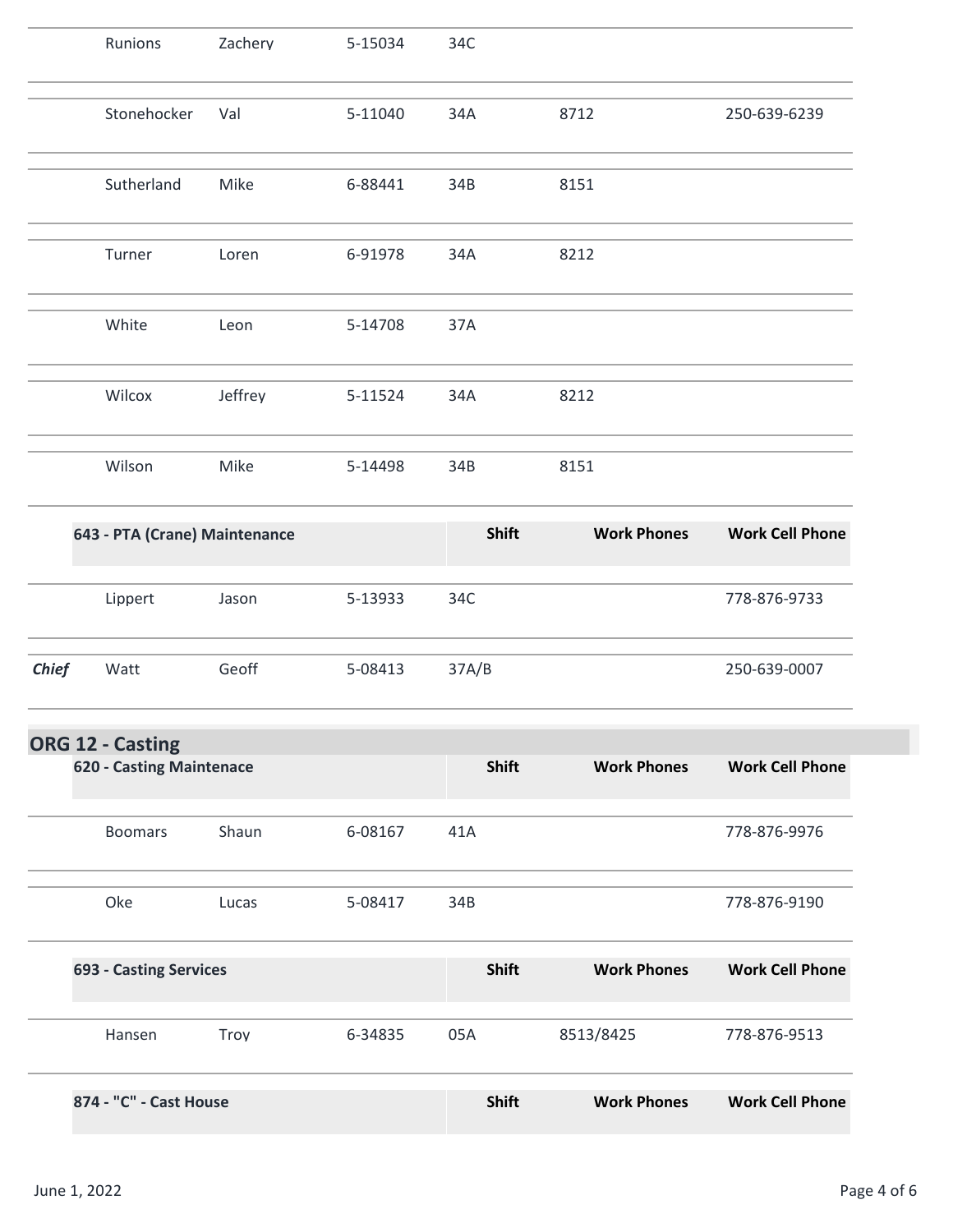|              | Runions                         | Zachery | 5-15034 | 34C          |                    |                        |
|--------------|---------------------------------|---------|---------|--------------|--------------------|------------------------|
|              | Stonehocker                     | Val     | 5-11040 | 34A          | 8712               | 250-639-6239           |
|              | Sutherland                      | Mike    | 6-88441 | 34B          | 8151               |                        |
|              | Turner                          | Loren   | 6-91978 | 34A          | 8212               |                        |
|              | White                           | Leon    | 5-14708 | 37A          |                    |                        |
|              | Wilcox                          | Jeffrey | 5-11524 | 34A          | 8212               |                        |
|              | Wilson                          | Mike    | 5-14498 | 34B          | 8151               |                        |
|              | 643 - PTA (Crane) Maintenance   |         |         | Shift        | <b>Work Phones</b> | <b>Work Cell Phone</b> |
|              | Lippert                         | Jason   | 5-13933 | 34C          |                    | 778-876-9733           |
| <b>Chief</b> | Watt                            | Geoff   | 5-08413 | 37A/B        |                    | 250-639-0007           |
|              | ORG 12 - Casting                |         |         |              |                    |                        |
|              | <b>620 - Casting Maintenace</b> |         |         | <b>Shift</b> | <b>Work Phones</b> | <b>Work Cell Phone</b> |
|              | <b>Boomars</b>                  | Shaun   | 6-08167 | 41A          |                    | 778-876-9976           |
|              | Oke                             | Lucas   | 5-08417 | 34B          |                    | 778-876-9190           |
|              | <b>693 - Casting Services</b>   |         |         | Shift        | <b>Work Phones</b> | <b>Work Cell Phone</b> |
|              | Hansen                          | Troy    | 6-34835 | 05A          | 8513/8425          | 778-876-9513           |
|              | 874 - "C" - Cast House          |         |         | <b>Shift</b> | <b>Work Phones</b> | <b>Work Cell Phone</b> |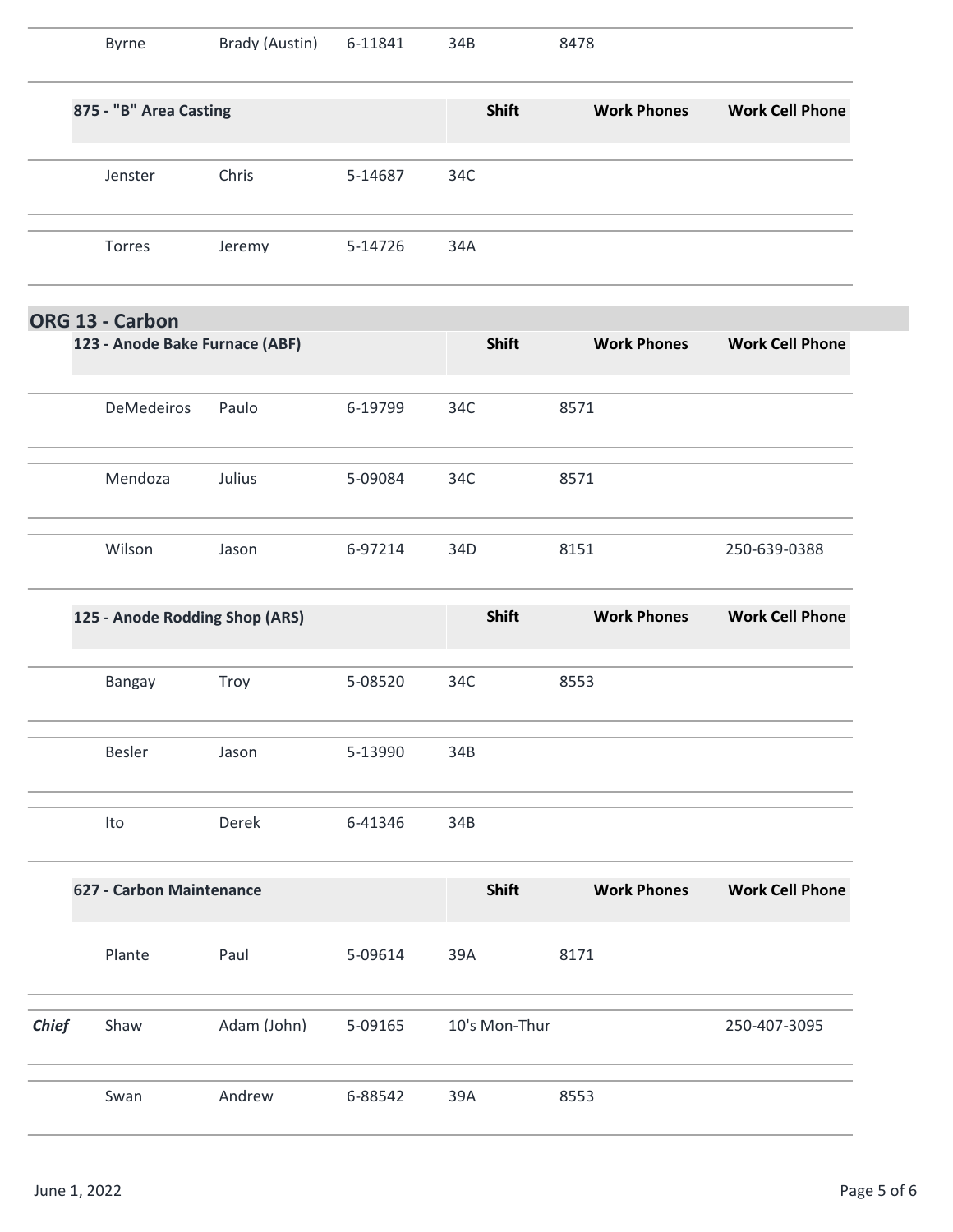|              | <b>Byrne</b>                   | Brady (Austin) | 6-11841 | 34B           | 8478               |                        |
|--------------|--------------------------------|----------------|---------|---------------|--------------------|------------------------|
|              | 875 - "B" Area Casting         |                |         | Shift         | <b>Work Phones</b> | <b>Work Cell Phone</b> |
|              | Jenster                        | Chris          | 5-14687 | 34C           |                    |                        |
|              | Torres                         | Jeremy         | 5-14726 | 34A           |                    |                        |
|              | ORG 13 - Carbon                |                |         |               |                    |                        |
|              | 123 - Anode Bake Furnace (ABF) |                |         | Shift         | <b>Work Phones</b> | <b>Work Cell Phone</b> |
|              | DeMedeiros                     | Paulo          | 6-19799 | 34C           | 8571               |                        |
|              | Mendoza                        | Julius         | 5-09084 | 34C           | 8571               |                        |
|              | Wilson                         | Jason          | 6-97214 | 34D           | 8151               | 250-639-0388           |
|              | 125 - Anode Rodding Shop (ARS) |                |         | Shift         | <b>Work Phones</b> | <b>Work Cell Phone</b> |
|              | Bangay                         | Troy           | 5-08520 | 34C           | 8553               |                        |
|              | Besler                         | Jason          | 5-13990 | 34B           |                    |                        |
|              | Ito                            | Derek          | 6-41346 | 34B           |                    |                        |
|              | 627 - Carbon Maintenance       |                |         | Shift         | <b>Work Phones</b> | <b>Work Cell Phone</b> |
|              | Plante                         | Paul           | 5-09614 | 39A           | 8171               |                        |
| <b>Chief</b> | Shaw                           | Adam (John)    | 5-09165 | 10's Mon-Thur |                    | 250-407-3095           |
|              |                                |                |         |               |                    |                        |